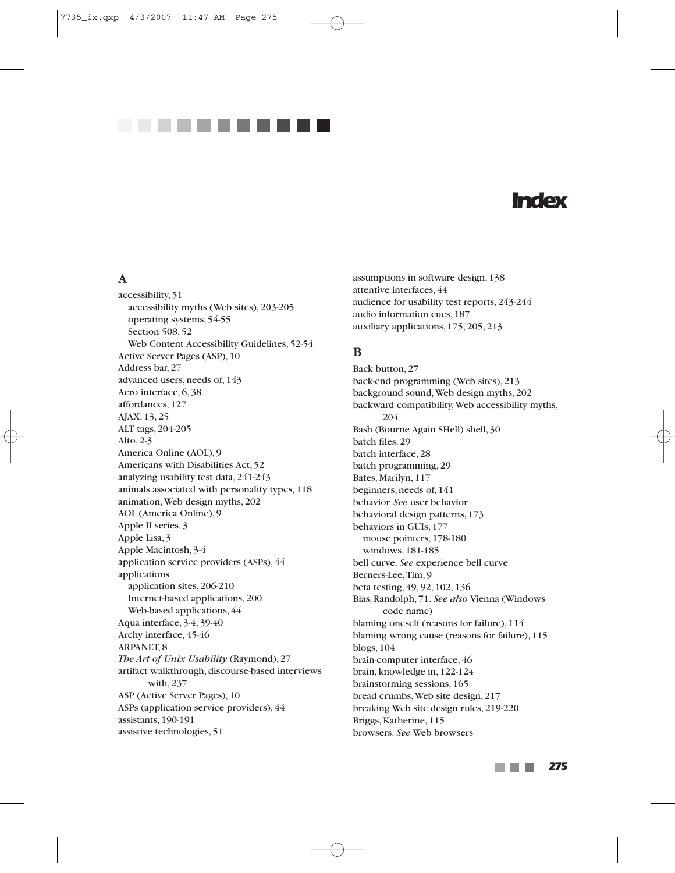

# *Index*

# **A**

accessibility, 51 accessibility myths (Web sites), 203-205 operating systems, 54-55 Section 508, 52 Web Content Accessibility Guidelines, 52-54 Active Server Pages (ASP), 10 Address bar, 27 advanced users, needs of, 143 Aero interface, 6, 38 affordances, 127 AJAX, 13, 25 ALT tags, 204-205 Alto, 2-3 America Online (AOL), 9 Americans with Disabilities Act, 52 analyzing usability test data, 241-243 animals associated with personality types, 118 animation,Web design myths, 202 AOL (America Online), 9 Apple II series, 3 Apple Lisa, 3 Apple Macintosh, 3-4 application service providers (ASPs), 44 applications application sites, 206-210 Internet-based applications, 200 Web-based applications, 44 Aqua interface, 3-4, 39-40 Archy interface, 45-46 ARPANET, 8 *The Art of Unix Usability* (Raymond), 27 artifact walkthrough, discourse-based interviews with, 237 ASP (Active Server Pages), 10 ASPs (application service providers), 44 assistants, 190-191 assistive technologies, 51

assumptions in software design, 138 attentive interfaces, 44 audience for usability test reports, 243-244 audio information cues, 187 auxiliary applications, 175, 205, 213

# **B**

Back button, 27 back-end programming (Web sites), 213 background sound,Web design myths, 202 backward compatibility,Web accessibility myths, 204 Bash (Bourne Again SHell) shell, 30 batch files, 29 batch interface, 28 batch programming, 29 Bates, Marilyn, 117 beginners, needs of, 141 behavior. *See* user behavior behavioral design patterns, 173 behaviors in GUIs, 177 mouse pointers, 178-180 windows, 181-185 bell curve. *See* experience bell curve Berners-Lee,Tim, 9 beta testing, 49, 92, 102, 136 Bias, Randolph, 71. *See also* Vienna (Windows code name) blaming oneself (reasons for failure), 114 blaming wrong cause (reasons for failure), 115 blogs, 104 brain-computer interface, 46 brain, knowledge in, 122-124 brainstorming sessions, 165 bread crumbs,Web site design, 217 breaking Web site design rules, 219-220 Briggs, Katherine, 115 browsers. *See* Web browsers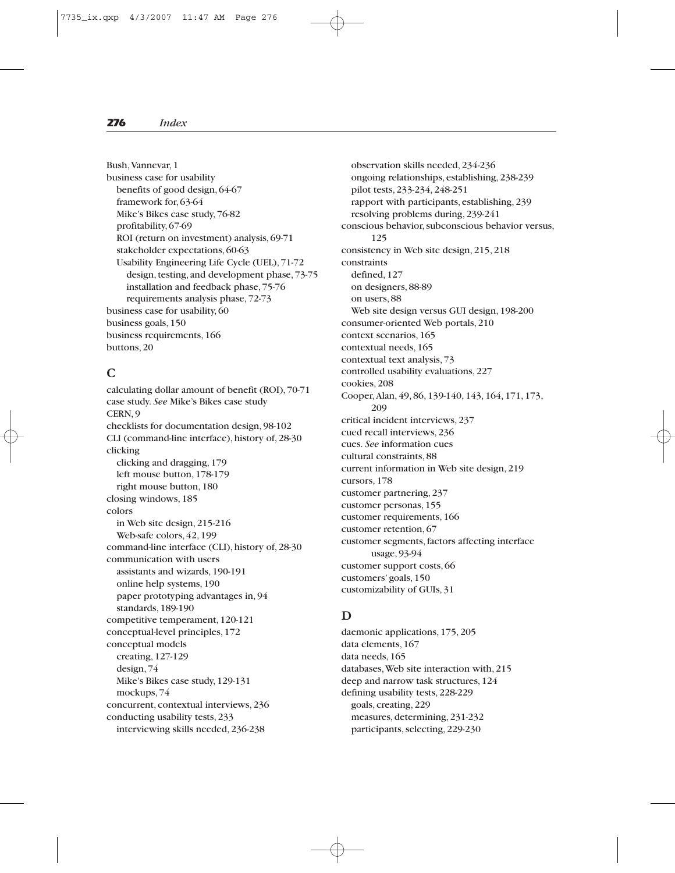Bush,Vannevar, 1 business case for usability benefits of good design, 64-67 framework for, 63-64 Mike's Bikes case study, 76-82 profitability, 67-69 ROI (return on investment) analysis, 69-71 stakeholder expectations, 60-63 Usability Engineering Life Cycle (UEL), 71-72 design, testing, and development phase, 73-75 installation and feedback phase, 75-76 requirements analysis phase, 72-73 business case for usability, 60 business goals, 150 business requirements, 166 buttons, 20

## **C**

calculating dollar amount of benefit (ROI), 70-71 case study. *See* Mike's Bikes case study CERN, 9 checklists for documentation design, 98-102 CLI (command-line interface), history of, 28-30 clicking clicking and dragging, 179 left mouse button, 178-179 right mouse button, 180 closing windows, 185 colors in Web site design, 215-216 Web-safe colors, 42, 199 command-line interface (CLI), history of, 28-30 communication with users assistants and wizards, 190-191 online help systems, 190 paper prototyping advantages in, 94 standards, 189-190 competitive temperament, 120-121 conceptual-level principles, 172 conceptual models creating, 127-129 design, 74 Mike's Bikes case study, 129-131 mockups, 74 concurrent, contextual interviews, 236 conducting usability tests, 233 interviewing skills needed, 236-238

observation skills needed, 234-236 ongoing relationships, establishing, 238-239 pilot tests, 233-234, 248-251 rapport with participants, establishing, 239 resolving problems during, 239-241 conscious behavior, subconscious behavior versus, 125 consistency in Web site design, 215, 218 constraints defined, 127 on designers, 88-89 on users, 88 Web site design versus GUI design, 198-200 consumer-oriented Web portals, 210 context scenarios, 165 contextual needs, 165 contextual text analysis, 73 controlled usability evaluations, 227 cookies, 208 Cooper,Alan, 49, 86, 139-140, 143, 164, 171, 173, 209 critical incident interviews, 237 cued recall interviews, 236 cues. *See* information cues cultural constraints, 88 current information in Web site design, 219 cursors, 178 customer partnering, 237 customer personas, 155 customer requirements, 166 customer retention, 67 customer segments, factors affecting interface usage, 93-94 customer support costs, 66 customers' goals, 150 customizability of GUIs, 31

#### **D**

daemonic applications, 175, 205 data elements, 167 data needs, 165 databases,Web site interaction with, 215 deep and narrow task structures, 124 defining usability tests, 228-229 goals, creating, 229 measures, determining, 231-232 participants, selecting, 229-230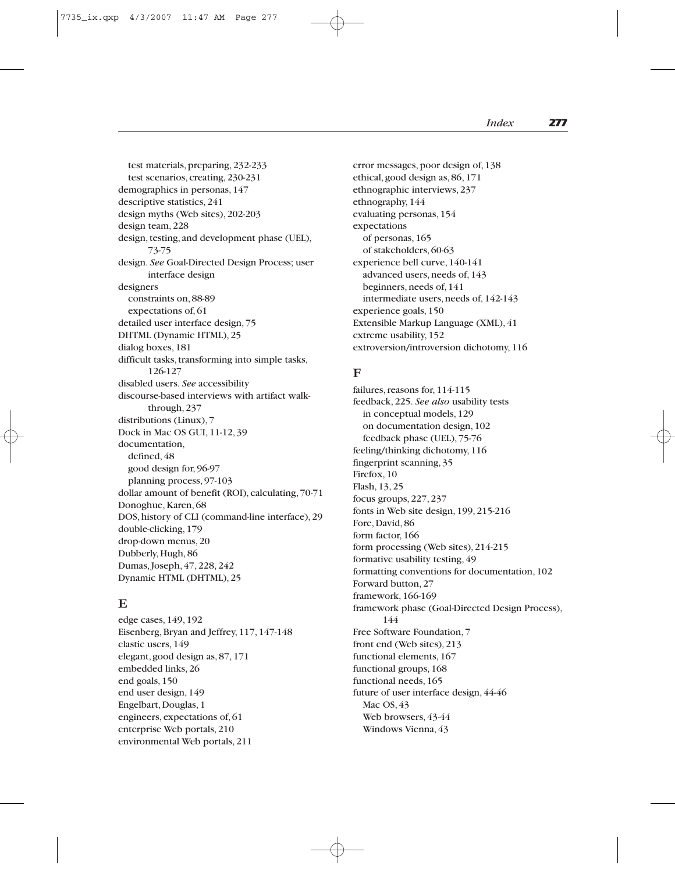test materials, preparing, 232-233 test scenarios, creating, 230-231 demographics in personas, 147 descriptive statistics, 241 design myths (Web sites), 202-203 design team, 228 design, testing, and development phase (UEL), 73-75 design. *See* Goal-Directed Design Process; user interface design designers constraints on, 88-89 expectations of, 61 detailed user interface design, 75 DHTML (Dynamic HTML), 25 dialog boxes, 181 difficult tasks, transforming into simple tasks, 126-127 disabled users. *See* accessibility discourse-based interviews with artifact walkthrough, 237 distributions (Linux), 7 Dock in Mac OS GUI, 11-12, 39 documentation, defined, 48 good design for, 96-97 planning process, 97-103 dollar amount of benefit (ROI), calculating, 70-71 Donoghue, Karen, 68 DOS, history of CLI (command-line interface), 29 double-clicking, 179 drop-down menus, 20 Dubberly, Hugh, 86 Dumas, Joseph, 47, 228, 242 Dynamic HTML (DHTML), 25

#### **E**

edge cases, 149, 192 Eisenberg, Bryan and Jeffrey, 117, 147-148 elastic users, 149 elegant, good design as, 87, 171 embedded links, 26 end goals, 150 end user design, 149 Engelbart, Douglas, 1 engineers, expectations of, 61 enterprise Web portals, 210 environmental Web portals, 211

error messages, poor design of, 138 ethical, good design as, 86, 171 ethnographic interviews, 237 ethnography, 144 evaluating personas, 154 expectations of personas, 165 of stakeholders, 60-63 experience bell curve, 140-141 advanced users, needs of, 143 beginners, needs of, 141 intermediate users, needs of, 142-143 experience goals, 150 Extensible Markup Language (XML), 41 extreme usability, 152 extroversion/introversion dichotomy, 116

#### **F**

failures, reasons for, 114-115 feedback, 225. *See also* usability tests in conceptual models, 129 on documentation design, 102 feedback phase (UEL), 75-76 feeling/thinking dichotomy, 116 fingerprint scanning, 35 Firefox, 10 Flash, 13, 25 focus groups, 227, 237 fonts in Web site design, 199, 215-216 Fore, David, 86 form factor, 166 form processing (Web sites), 214-215 formative usability testing, 49 formatting conventions for documentation, 102 Forward button, 27 framework, 166-169 framework phase (Goal-Directed Design Process), 144 Free Software Foundation, 7 front end (Web sites), 213 functional elements, 167 functional groups, 168 functional needs, 165 future of user interface design, 44-46 Mac OS, 43 Web browsers, 43-44 Windows Vienna, 43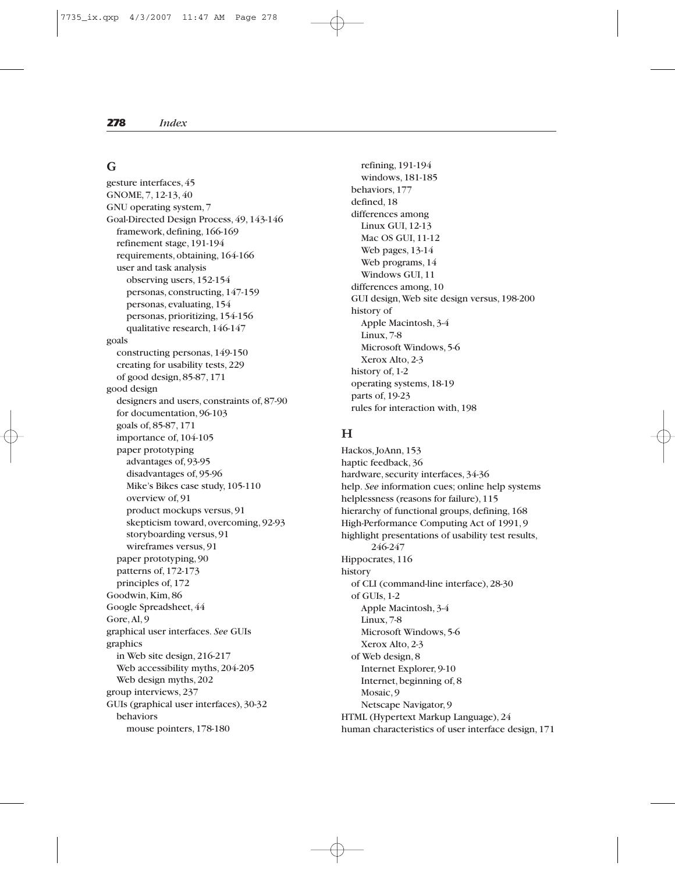#### **G**

gesture interfaces, 45 GNOME, 7, 12-13, 40 GNU operating system, 7 Goal-Directed Design Process, 49, 143-146 framework, defining, 166-169 refinement stage, 191-194 requirements, obtaining, 164-166 user and task analysis observing users, 152-154 personas, constructing, 147-159 personas, evaluating, 154 personas, prioritizing, 154-156 qualitative research, 146-147 goals constructing personas, 149-150 creating for usability tests, 229 of good design, 85-87, 171 good design designers and users, constraints of, 87-90 for documentation, 96-103 goals of, 85-87, 171 importance of, 104-105 paper prototyping advantages of, 93-95 disadvantages of, 95-96 Mike's Bikes case study, 105-110 overview of, 91 product mockups versus, 91 skepticism toward, overcoming, 92-93 storyboarding versus, 91 wireframes versus, 91 paper prototyping, 90 patterns of, 172-173 principles of, 172 Goodwin, Kim, 86 Google Spreadsheet, 44 Gore,Al, 9 graphical user interfaces. *See* GUIs graphics in Web site design, 216-217 Web accessibility myths, 204-205 Web design myths, 202 group interviews, 237 GUIs (graphical user interfaces), 30-32 behaviors mouse pointers, 178-180

refining, 191-194 windows, 181-185 behaviors, 177 defined, 18 differences among Linux GUI, 12-13 Mac OS GUI, 11-12 Web pages, 13-14 Web programs, 14 Windows GUI, 11 differences among, 10 GUI design,Web site design versus, 198-200 history of Apple Macintosh, 3-4 Linux, 7-8 Microsoft Windows, 5-6 Xerox Alto, 2-3 history of, 1-2 operating systems, 18-19 parts of, 19-23 rules for interaction with, 198

# **H**

Hackos, JoAnn, 153 haptic feedback, 36 hardware, security interfaces, 34-36 help. *See* information cues; online help systems helplessness (reasons for failure), 115 hierarchy of functional groups, defining, 168 High-Performance Computing Act of 1991, 9 highlight presentations of usability test results, 246-247 Hippocrates, 116 history of CLI (command-line interface), 28-30 of GUIs, 1-2 Apple Macintosh, 3-4 Linux, 7-8 Microsoft Windows, 5-6 Xerox Alto, 2-3 of Web design, 8 Internet Explorer, 9-10 Internet, beginning of, 8 Mosaic, 9 Netscape Navigator, 9 HTML (Hypertext Markup Language), 24 human characteristics of user interface design, 171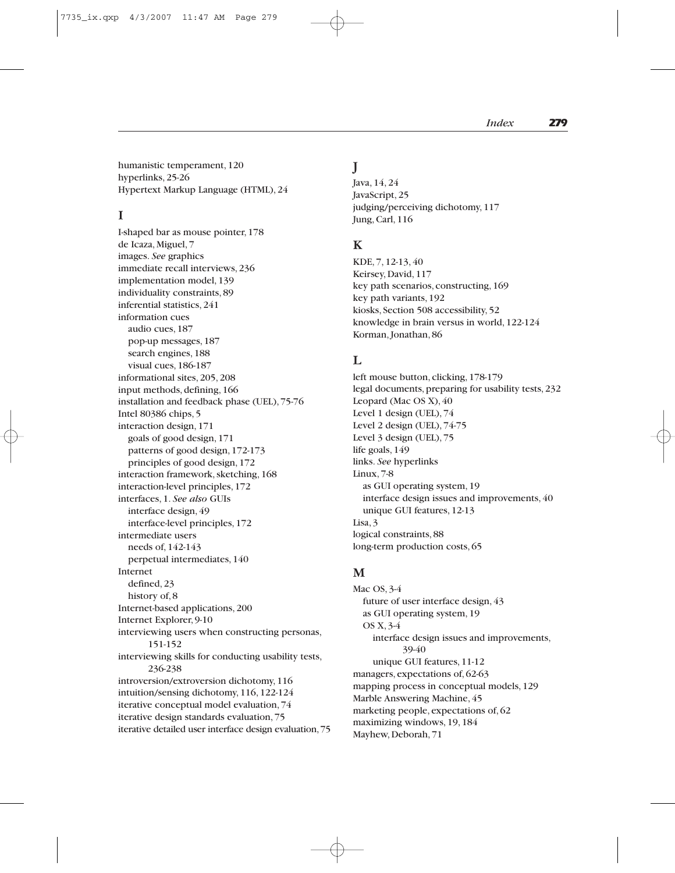humanistic temperament, 120 hyperlinks, 25-26 Hypertext Markup Language (HTML), 24

## **I**

I-shaped bar as mouse pointer, 178 de Icaza, Miguel, 7 images. *See* graphics immediate recall interviews, 236 implementation model, 139 individuality constraints, 89 inferential statistics, 241 information cues audio cues, 187 pop-up messages, 187 search engines, 188 visual cues, 186-187 informational sites, 205, 208 input methods, defining, 166 installation and feedback phase (UEL), 75-76 Intel 80386 chips, 5 interaction design, 171 goals of good design, 171 patterns of good design, 172-173 principles of good design, 172 interaction framework, sketching, 168 interaction-level principles, 172 interfaces, 1. *See also* GUIs interface design, 49 interface-level principles, 172 intermediate users needs of, 142-143 perpetual intermediates, 140 Internet defined, 23 history of, 8 Internet-based applications, 200 Internet Explorer, 9-10 interviewing users when constructing personas, 151-152 interviewing skills for conducting usability tests, 236-238 introversion/extroversion dichotomy, 116 intuition/sensing dichotomy, 116, 122-124 iterative conceptual model evaluation, 74 iterative design standards evaluation, 75 iterative detailed user interface design evaluation,75

## **J**

Java, 14, 24 JavaScript, 25 judging/perceiving dichotomy, 117 Jung, Carl, 116

# **K**

KDE, 7, 12-13, 40 Keirsey, David, 117 key path scenarios, constructing, 169 key path variants, 192 kiosks, Section 508 accessibility, 52 knowledge in brain versus in world, 122-124 Korman, Jonathan, 86

#### $\mathbf{L}$

left mouse button, clicking, 178-179 legal documents, preparing for usability tests, 232 Leopard (Mac OS X), 40 Level 1 design (UEL), 74 Level 2 design (UEL), 74-75 Level 3 design (UEL), 75 life goals, 149 links. *See* hyperlinks Linux, 7-8 as GUI operating system, 19 interface design issues and improvements, 40 unique GUI features, 12-13 Lisa, 3 logical constraints, 88 long-term production costs, 65

#### **M**

Mac OS, 3-4 future of user interface design, 43 as GUI operating system, 19 OS X, 3-4 interface design issues and improvements, 39-40 unique GUI features, 11-12 managers, expectations of, 62-63 mapping process in conceptual models, 129 Marble Answering Machine, 45 marketing people, expectations of, 62 maximizing windows, 19, 184 Mayhew, Deborah, 71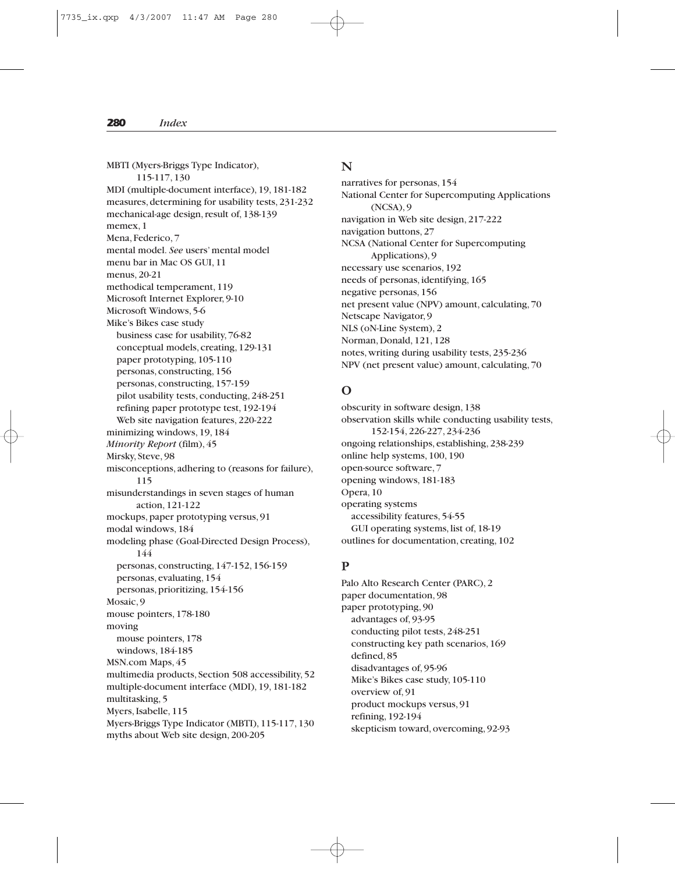MBTI (Myers-Briggs Type Indicator), 115-117, 130 MDI (multiple-document interface), 19, 181-182 measures, determining for usability tests, 231-232 mechanical-age design, result of, 138-139 memex, 1 Mena, Federico, 7 mental model. *See* users' mental model menu bar in Mac OS GUI, 11 menus, 20-21 methodical temperament, 119 Microsoft Internet Explorer, 9-10 Microsoft Windows, 5-6 Mike's Bikes case study business case for usability, 76-82 conceptual models, creating, 129-131 paper prototyping, 105-110 personas, constructing, 156 personas, constructing, 157-159 pilot usability tests, conducting, 248-251 refining paper prototype test, 192-194 Web site navigation features, 220-222 minimizing windows, 19, 184 *Minority Report* (film), 45 Mirsky, Steve, 98 misconceptions, adhering to (reasons for failure), 115 misunderstandings in seven stages of human action, 121-122 mockups, paper prototyping versus, 91 modal windows, 184 modeling phase (Goal-Directed Design Process), 144 personas, constructing, 147-152, 156-159 personas, evaluating, 154 personas, prioritizing, 154-156 Mosaic, 9 mouse pointers, 178-180 moving mouse pointers, 178 windows, 184-185 MSN.com Maps, 45 multimedia products, Section 508 accessibility, 52 multiple-document interface (MDI), 19, 181-182 multitasking, 5 Myers, Isabelle, 115 Myers-Briggs Type Indicator (MBTI), 115-117, 130 myths about Web site design, 200-205

#### **N**

narratives for personas, 154 National Center for Supercomputing Applications (NCSA), 9 navigation in Web site design, 217-222 navigation buttons, 27 NCSA (National Center for Supercomputing Applications), 9 necessary use scenarios, 192 needs of personas, identifying, 165 negative personas, 156 net present value (NPV) amount, calculating, 70 Netscape Navigator, 9 NLS (oN-Line System), 2 Norman, Donald, 121, 128 notes, writing during usability tests, 235-236 NPV (net present value) amount, calculating, 70

# **O**

obscurity in software design, 138 observation skills while conducting usability tests, 152-154, 226-227, 234-236 ongoing relationships, establishing, 238-239 online help systems, 100, 190 open-source software, 7 opening windows, 181-183 Opera, 10 operating systems accessibility features, 54-55 GUI operating systems, list of, 18-19 outlines for documentation, creating, 102

# **P**

Palo Alto Research Center (PARC), 2 paper documentation, 98 paper prototyping, 90 advantages of, 93-95 conducting pilot tests, 248-251 constructing key path scenarios, 169 defined, 85 disadvantages of, 95-96 Mike's Bikes case study, 105-110 overview of, 91 product mockups versus, 91 refining, 192-194 skepticism toward, overcoming, 92-93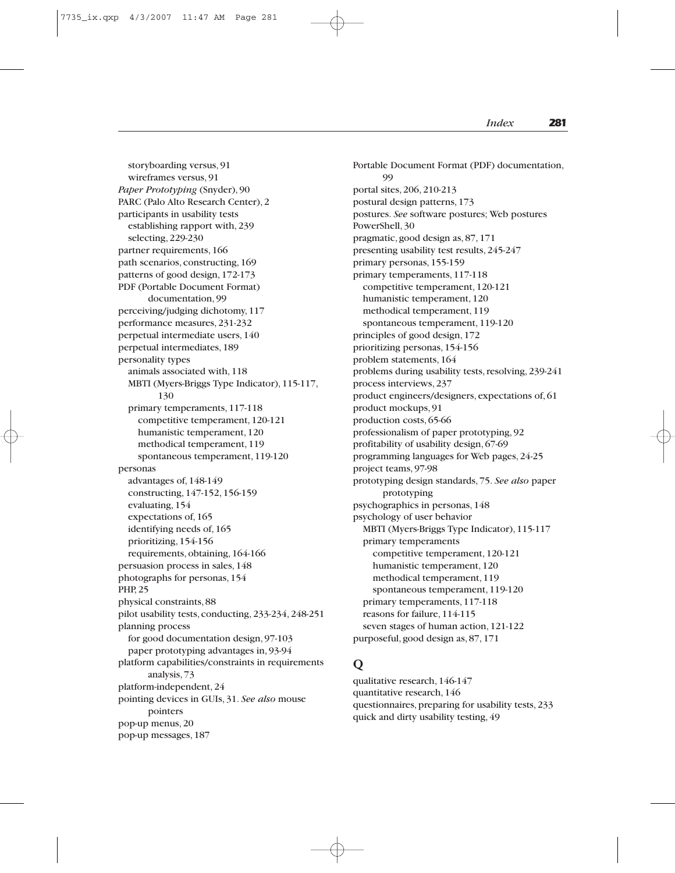storyboarding versus, 91 wireframes versus, 91 *Paper Prototyping* (Snyder), 90 PARC (Palo Alto Research Center), 2 participants in usability tests establishing rapport with, 239 selecting, 229-230 partner requirements, 166 path scenarios, constructing, 169 patterns of good design, 172-173 PDF (Portable Document Format) documentation, 99 perceiving/judging dichotomy, 117 performance measures, 231-232 perpetual intermediate users, 140 perpetual intermediates, 189 personality types animals associated with, 118 MBTI (Myers-Briggs Type Indicator), 115-117, 130 primary temperaments, 117-118 competitive temperament, 120-121 humanistic temperament, 120 methodical temperament, 119 spontaneous temperament, 119-120 personas advantages of, 148-149 constructing, 147-152, 156-159 evaluating, 154 expectations of, 165 identifying needs of, 165 prioritizing, 154-156 requirements, obtaining, 164-166 persuasion process in sales, 148 photographs for personas, 154 PHP, 25 physical constraints, 88 pilot usability tests, conducting, 233-234, 248-251 planning process for good documentation design, 97-103 paper prototyping advantages in, 93-94 platform capabilities/constraints in requirements analysis, 73 platform-independent, 24 pointing devices in GUIs, 31. *See also* mouse pointers pop-up menus, 20 pop-up messages, 187

Portable Document Format (PDF) documentation, 99 portal sites, 206, 210-213 postural design patterns, 173 postures. *See* software postures; Web postures PowerShell, 30 pragmatic, good design as, 87, 171 presenting usability test results, 245-247 primary personas, 155-159 primary temperaments, 117-118 competitive temperament, 120-121 humanistic temperament, 120 methodical temperament, 119 spontaneous temperament, 119-120 principles of good design, 172 prioritizing personas, 154-156 problem statements, 164 problems during usability tests, resolving, 239-241 process interviews, 237 product engineers/designers, expectations of, 61 product mockups, 91 production costs, 65-66 professionalism of paper prototyping, 92 profitability of usability design, 67-69 programming languages for Web pages, 24-25 project teams, 97-98 prototyping design standards, 75. *See also* paper prototyping psychographics in personas, 148 psychology of user behavior MBTI (Myers-Briggs Type Indicator), 115-117 primary temperaments competitive temperament, 120-121 humanistic temperament, 120 methodical temperament, 119 spontaneous temperament, 119-120 primary temperaments, 117-118 reasons for failure, 114-115 seven stages of human action, 121-122 purposeful, good design as, 87, 171

#### **Q**

qualitative research, 146-147 quantitative research, 146 questionnaires, preparing for usability tests, 233 quick and dirty usability testing, 49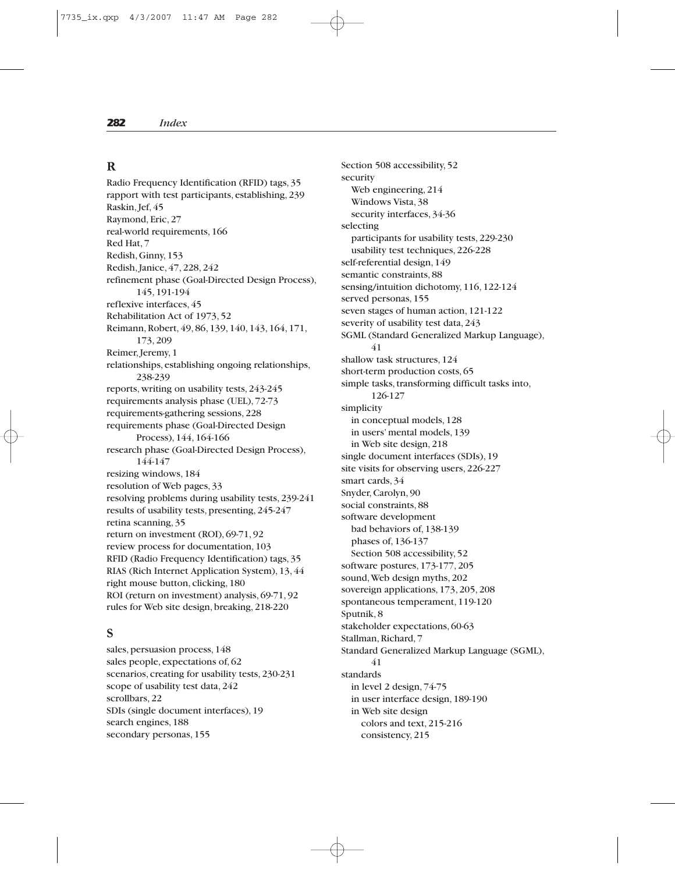#### **R**

Radio Frequency Identification (RFID) tags, 35 rapport with test participants, establishing, 239 Raskin, Jef, 45 Raymond, Eric, 27 real-world requirements, 166 Red Hat, 7 Redish, Ginny, 153 Redish, Janice, 47, 228, 242 refinement phase (Goal-Directed Design Process), 145, 191-194 reflexive interfaces, 45 Rehabilitation Act of 1973, 52 Reimann, Robert, 49, 86, 139, 140, 143, 164, 171, 173, 209 Reimer, Jeremy, 1 relationships, establishing ongoing relationships, 238-239 reports, writing on usability tests, 243-245 requirements analysis phase (UEL), 72-73 requirements-gathering sessions, 228 requirements phase (Goal-Directed Design Process), 144, 164-166 research phase (Goal-Directed Design Process), 144-147 resizing windows, 184 resolution of Web pages, 33 resolving problems during usability tests, 239-241 results of usability tests, presenting, 245-247 retina scanning, 35 return on investment (ROI), 69-71, 92 review process for documentation, 103 RFID (Radio Frequency Identification) tags, 35 RIAS (Rich Internet Application System), 13, 44 right mouse button, clicking, 180 ROI (return on investment) analysis, 69-71, 92 rules for Web site design, breaking, 218-220

#### **S**

sales, persuasion process, 148 sales people, expectations of, 62 scenarios, creating for usability tests, 230-231 scope of usability test data, 242 scrollbars, 22 SDIs (single document interfaces), 19 search engines, 188 secondary personas, 155

Section 508 accessibility, 52 security Web engineering, 214 Windows Vista, 38 security interfaces, 34-36 selecting participants for usability tests, 229-230 usability test techniques, 226-228 self-referential design, 149 semantic constraints, 88 sensing/intuition dichotomy, 116, 122-124 served personas, 155 seven stages of human action, 121-122 severity of usability test data, 243 SGML (Standard Generalized Markup Language), 41 shallow task structures, 124 short-term production costs, 65 simple tasks, transforming difficult tasks into, 126-127 simplicity in conceptual models, 128 in users' mental models, 139 in Web site design, 218 single document interfaces (SDIs), 19 site visits for observing users, 226-227 smart cards, 34 Snyder, Carolyn, 90 social constraints, 88 software development bad behaviors of, 138-139 phases of, 136-137 Section 508 accessibility, 52 software postures, 173-177, 205 sound,Web design myths, 202 sovereign applications, 173, 205, 208 spontaneous temperament, 119-120 Sputnik, 8 stakeholder expectations, 60-63 Stallman, Richard, 7 Standard Generalized Markup Language (SGML), 41 standards in level 2 design, 74-75 in user interface design, 189-190 in Web site design colors and text, 215-216 consistency, 215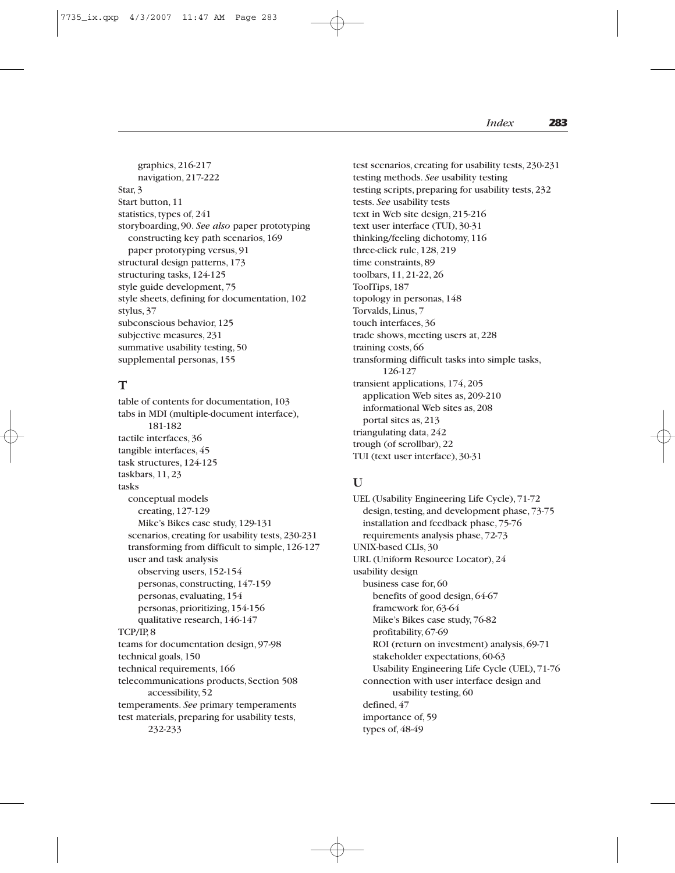graphics, 216-217 navigation, 217-222 Star, 3 Start button, 11 statistics, types of, 241 storyboarding, 90. *See also* paper prototyping constructing key path scenarios, 169 paper prototyping versus, 91 structural design patterns, 173 structuring tasks, 124-125 style guide development, 75 style sheets, defining for documentation, 102 stylus, 37 subconscious behavior, 125 subjective measures, 231 summative usability testing, 50 supplemental personas, 155

#### **T**

table of contents for documentation, 103 tabs in MDI (multiple-document interface), 181-182 tactile interfaces, 36 tangible interfaces, 45 task structures, 124-125 taskbars, 11, 23 tasks conceptual models creating, 127-129 Mike's Bikes case study, 129-131 scenarios, creating for usability tests, 230-231 transforming from difficult to simple, 126-127 user and task analysis observing users, 152-154 personas, constructing, 147-159 personas, evaluating, 154 personas, prioritizing, 154-156 qualitative research, 146-147 TCP/IP, 8 teams for documentation design, 97-98 technical goals, 150 technical requirements, 166 telecommunications products, Section 508 accessibility, 52 temperaments. *See* primary temperaments test materials, preparing for usability tests, 232-233

test scenarios, creating for usability tests, 230-231 testing methods. *See* usability testing testing scripts, preparing for usability tests, 232 tests. *See* usability tests text in Web site design, 215-216 text user interface (TUI), 30-31 thinking/feeling dichotomy, 116 three-click rule, 128, 219 time constraints, 89 toolbars, 11, 21-22, 26 ToolTips, 187 topology in personas, 148 Torvalds, Linus, 7 touch interfaces, 36 trade shows, meeting users at, 228 training costs, 66 transforming difficult tasks into simple tasks, 126-127 transient applications, 174, 205 application Web sites as, 209-210 informational Web sites as, 208 portal sites as, 213 triangulating data, 242 trough (of scrollbar), 22 TUI (text user interface), 30-31

# **U**

UEL (Usability Engineering Life Cycle), 71-72 design, testing, and development phase, 73-75 installation and feedback phase, 75-76 requirements analysis phase, 72-73 UNIX-based CLIs, 30 URL (Uniform Resource Locator), 24 usability design business case for, 60 benefits of good design, 64-67 framework for, 63-64 Mike's Bikes case study, 76-82 profitability, 67-69 ROI (return on investment) analysis, 69-71 stakeholder expectations, 60-63 Usability Engineering Life Cycle (UEL), 71-76 connection with user interface design and usability testing, 60 defined, 47 importance of, 59 types of, 48-49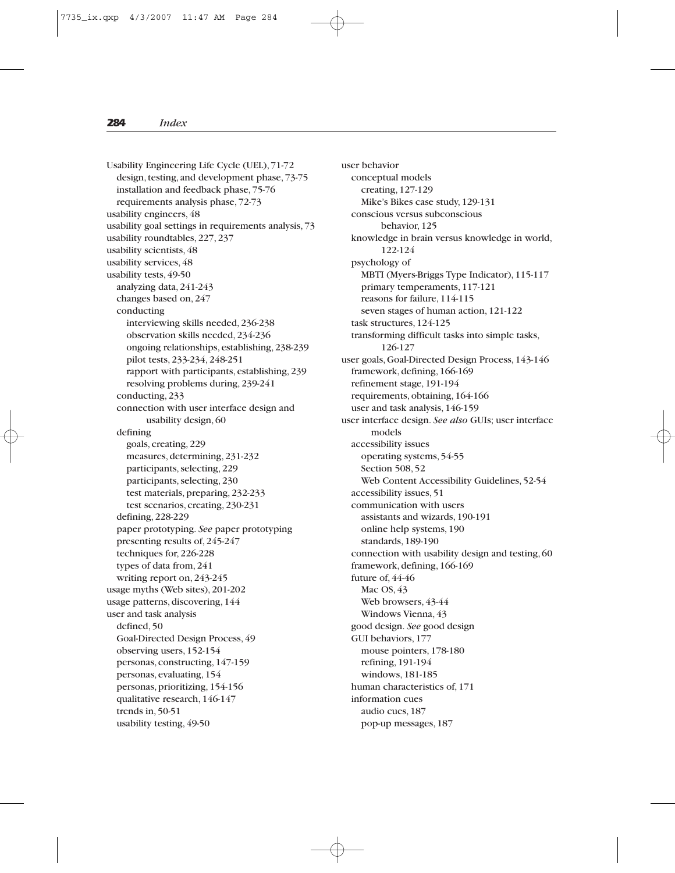Usability Engineering Life Cycle (UEL), 71-72 design, testing, and development phase, 73-75 installation and feedback phase, 75-76 requirements analysis phase, 72-73 usability engineers, 48 usability goal settings in requirements analysis, 73 usability roundtables, 227, 237 usability scientists, 48 usability services, 48 usability tests, 49-50 analyzing data, 241-243 changes based on, 247 conducting interviewing skills needed, 236-238 observation skills needed, 234-236 ongoing relationships, establishing, 238-239 pilot tests, 233-234, 248-251 rapport with participants, establishing, 239 resolving problems during, 239-241 conducting, 233 connection with user interface design and usability design, 60 defining goals, creating, 229 measures, determining, 231-232 participants, selecting, 229 participants, selecting, 230 test materials, preparing, 232-233 test scenarios, creating, 230-231 defining, 228-229 paper prototyping. *See* paper prototyping presenting results of, 245-247 techniques for, 226-228 types of data from, 241 writing report on, 243-245 usage myths (Web sites), 201-202 usage patterns, discovering, 144 user and task analysis defined, 50 Goal-Directed Design Process, 49 observing users, 152-154 personas, constructing, 147-159 personas, evaluating, 154 personas, prioritizing, 154-156 qualitative research, 146-147 trends in, 50-51 usability testing, 49-50

user behavior conceptual models creating, 127-129 Mike's Bikes case study, 129-131 conscious versus subconscious behavior, 125 knowledge in brain versus knowledge in world, 122-124 psychology of MBTI (Myers-Briggs Type Indicator), 115-117 primary temperaments, 117-121 reasons for failure, 114-115 seven stages of human action, 121-122 task structures, 124-125 transforming difficult tasks into simple tasks, 126-127 user goals, Goal-Directed Design Process, 143-146 framework, defining, 166-169 refinement stage, 191-194 requirements, obtaining, 164-166 user and task analysis, 146-159 user interface design. *See also* GUIs; user interface models accessibility issues operating systems, 54-55 Section 508, 52 Web Content Accessibility Guidelines, 52-54 accessibility issues, 51 communication with users assistants and wizards, 190-191 online help systems, 190 standards, 189-190 connection with usability design and testing, 60 framework, defining, 166-169 future of, 44-46 Mac OS, 43 Web browsers, 43-44 Windows Vienna, 43 good design. *See* good design GUI behaviors, 177 mouse pointers, 178-180 refining, 191-194 windows, 181-185 human characteristics of, 171 information cues audio cues, 187 pop-up messages, 187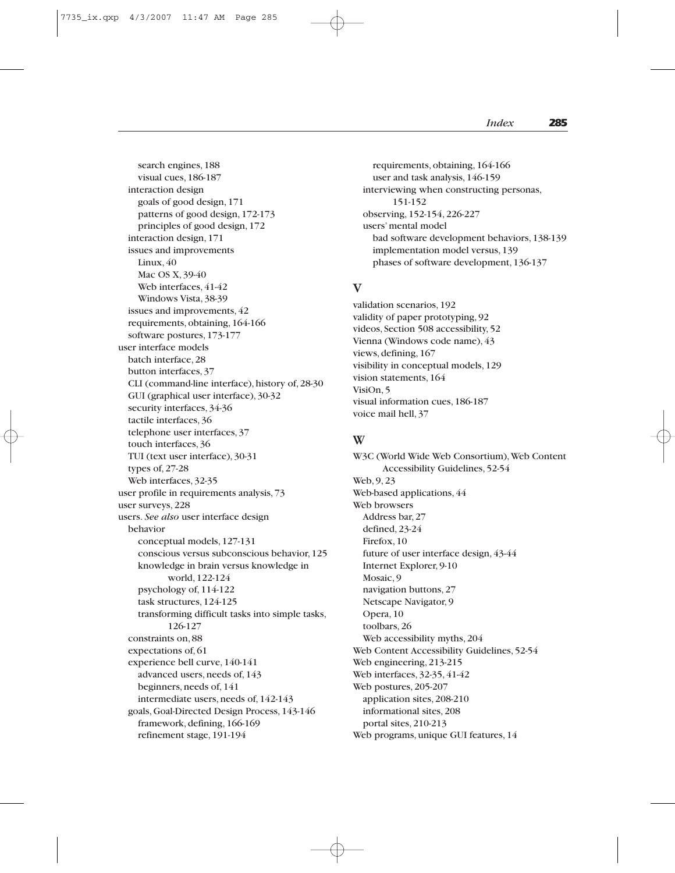search engines, 188 visual cues, 186-187 interaction design goals of good design, 171 patterns of good design, 172-173 principles of good design, 172 interaction design, 171 issues and improvements Linux, 40 Mac OS X, 39-40 Web interfaces, 41-42 Windows Vista, 38-39 issues and improvements, 42 requirements, obtaining, 164-166 software postures, 173-177 user interface models batch interface, 28 button interfaces, 37 CLI (command-line interface), history of, 28-30 GUI (graphical user interface), 30-32 security interfaces, 34-36 tactile interfaces, 36 telephone user interfaces, 37 touch interfaces, 36 TUI (text user interface), 30-31 types of, 27-28 Web interfaces, 32-35 user profile in requirements analysis, 73 user surveys, 228 users. *See also* user interface design behavior conceptual models, 127-131 conscious versus subconscious behavior, 125 knowledge in brain versus knowledge in world, 122-124 psychology of, 114-122 task structures, 124-125 transforming difficult tasks into simple tasks, 126-127 constraints on, 88 expectations of, 61 experience bell curve, 140-141 advanced users, needs of, 143 beginners, needs of, 141 intermediate users, needs of, 142-143 goals, Goal-Directed Design Process, 143-146 framework, defining, 166-169 refinement stage, 191-194

requirements, obtaining, 164-166 user and task analysis, 146-159 interviewing when constructing personas, 151-152 observing, 152-154, 226-227 users' mental model bad software development behaviors, 138-139 implementation model versus, 139 phases of software development, 136-137

#### **V**

validation scenarios, 192 validity of paper prototyping, 92 videos, Section 508 accessibility, 52 Vienna (Windows code name), 43 views, defining, 167 visibility in conceptual models, 129 vision statements, 164 VisiOn, 5 visual information cues, 186-187 voice mail hell, 37

#### **W**

W3C (World Wide Web Consortium), Web Content Accessibility Guidelines, 52-54 Web, 9, 23 Web-based applications, 44 Web browsers Address bar, 27 defined, 23-24 Firefox, 10 future of user interface design, 43-44 Internet Explorer, 9-10 Mosaic, 9 navigation buttons, 27 Netscape Navigator, 9 Opera, 10 toolbars, 26 Web accessibility myths, 204 Web Content Accessibility Guidelines, 52-54 Web engineering, 213-215 Web interfaces, 32-35, 41-42 Web postures, 205-207 application sites, 208-210 informational sites, 208 portal sites, 210-213 Web programs, unique GUI features, 14